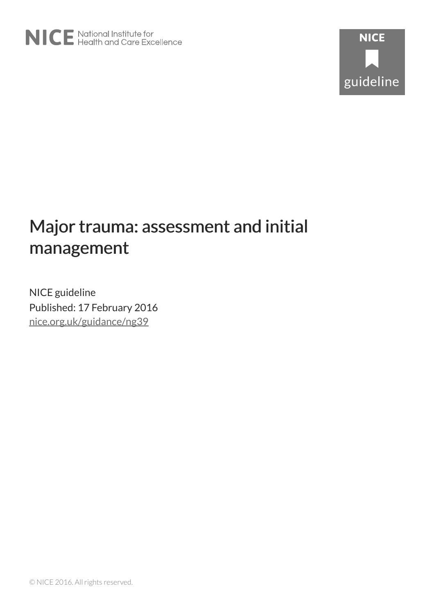# Major trauma: assessment and initial management

NICE guideline Published: 17 February 2016 [nice.org.uk/guidance/ng39](http://nice.org.uk/guidance/ng39)

© NICE 2016. All rights reserved.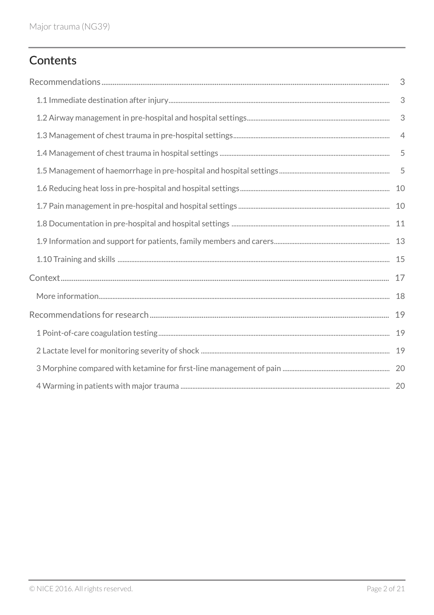# Contents

| 3                         |
|---------------------------|
| 3                         |
| $\ensuremath{\mathsf{3}}$ |
| $\overline{4}$            |
| 5                         |
| 5                         |
| 10                        |
|                           |
|                           |
|                           |
| 15                        |
| 17                        |
| 18                        |
| 19                        |
| 19                        |
|                           |
|                           |
|                           |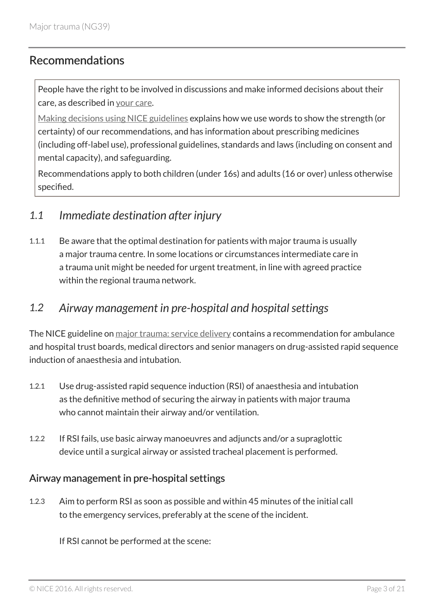## <span id="page-2-0"></span>Recommendations

People have the right to be involved in discussions and make informed decisions about their care, as described in [your care](http://www.nice.org.uk/about/nice-communities/public-involvement/your-care).

[Making decisions using NICE guidelines](http://www.nice.org.uk/about/what-we-do/our-programmes/nice-guidance/nice-guidelines/using-NICE-guidelines-to-make-decisions) explains how we use words to show the strength (or certainty) of our recommendations, and has information about prescribing medicines (including off-label use), professional guidelines, standards and laws (including on consent and mental capacity), and safeguarding.

Recommendations apply to both children (under 16s) and adults (16 or over) unless otherwise specified.

## <span id="page-2-1"></span>*1.1 Immediate destination after injury*

1.1.1 Be aware that the optimal destination for patients with major trauma is usually a major trauma centre. In some locations or circumstances intermediate care in a trauma unit might be needed for urgent treatment, in line with agreed practice within the regional trauma network.

## <span id="page-2-2"></span>*1.2 Airway management in pre-hospital and hospital settings*

The NICE guideline on [major trauma: service delivery](http://www.nice.org.uk/guidance/ng40) contains a recommendation for ambulance and hospital trust boards, medical directors and senior managers on drug-assisted rapid sequence induction of anaesthesia and intubation.

- 1.2.1 Use drug-assisted rapid sequence induction (RSI) of anaesthesia and intubation as the definitive method of securing the airway in patients with major trauma who cannot maintain their airway and/or ventilation.
- 1.2.2 If RSI fails, use basic airway manoeuvres and adjuncts and/or a supraglottic device until a surgical airway or assisted tracheal placement is performed.

#### Airway management in pre-hospital settings

1.2.3 Aim to perform RSI as soon as possible and within 45 minutes of the initial call to the emergency services, preferably at the scene of the incident.

If RSI cannot be performed at the scene: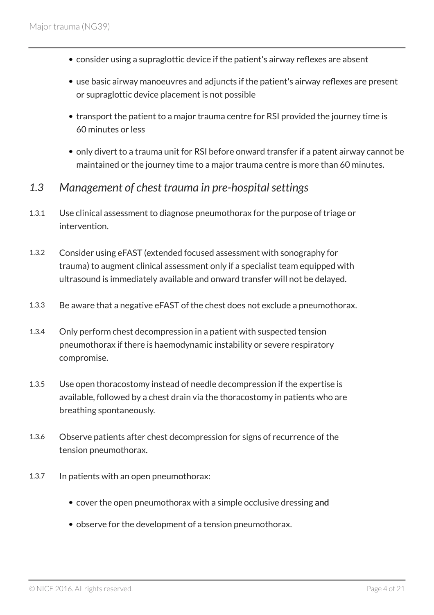- consider using a supraglottic device if the patient's airway reflexes are absent
- use basic airway manoeuvres and adjuncts if the patient's airway reflexes are present or supraglottic device placement is not possible
- transport the patient to a major trauma centre for RSI provided the journey time is 60 minutes or less
- only divert to a trauma unit for RSI before onward transfer if a patent airway cannot be maintained or the journey time to a major trauma centre is more than 60 minutes.
- <span id="page-3-0"></span>*1.3 Management of chest trauma in pre-hospital settings*
- 1.3.1 Use clinical assessment to diagnose pneumothorax for the purpose of triage or intervention.
- 1.3.2 Consider using eFAST (extended focused assessment with sonography for trauma) to augment clinical assessment only if a specialist team equipped with ultrasound is immediately available and onward transfer will not be delayed.
- 1.3.3 Be aware that a negative eFAST of the chest does not exclude a pneumothorax.
- 1.3.4 Only perform chest decompression in a patient with suspected tension pneumothorax if there is haemodynamic instability or severe respiratory compromise.
- 1.3.5 Use open thoracostomy instead of needle decompression if the expertise is available, followed by a chest drain via the thoracostomy in patients who are breathing spontaneously.
- 1.3.6 Observe patients after chest decompression for signs of recurrence of the tension pneumothorax.
- 1.3.7 In patients with an open pneumothorax:
	- cover the open pneumothorax with a simple occlusive dressing and
	- observe for the development of a tension pneumothorax.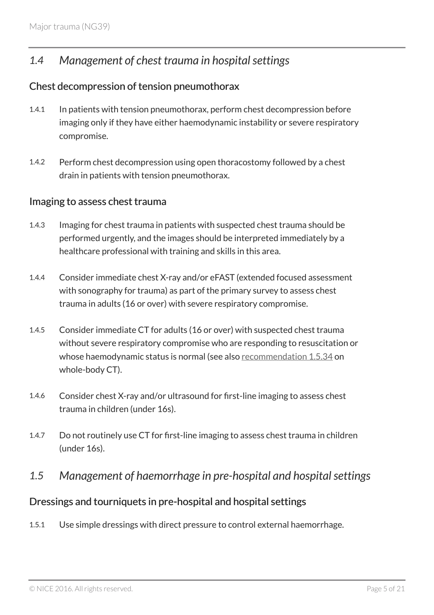## <span id="page-4-0"></span>*1.4 Management of chest trauma in hospital settings*

#### Chest decompression of tension pneumothorax

- 1.4.1 In patients with tension pneumothorax, perform chest decompression before imaging only if they have either haemodynamic instability or severe respiratory compromise.
- 1.4.2 Perform chest decompression using open thoracostomy followed by a chest drain in patients with tension pneumothorax.

#### Imaging to assess chest trauma

- 1.4.3 Imaging for chest trauma in patients with suspected chest trauma should be performed urgently, and the images should be interpreted immediately by a healthcare professional with training and skills in this area.
- 1.4.4 Consider immediate chest X-ray and/or eFAST (extended focused assessment with sonography for trauma) as part of the primary survey to assess chest trauma in adults (16 or over) with severe respiratory compromise.
- 1.4.5 Consider immediate CT for adults (16 or over) with suspected chest trauma without severe respiratory compromise who are responding to resuscitation or whose haemodynamic status is normal (see also [recommendation](#page-8-0) 1.5.34 on whole-body CT).
- 1.4.6 Consider chest X-ray and/or ultrasound for first-line imaging to assess chest trauma in children (under 16s).
- 1.4.7 Do not routinely use CT for first-line imaging to assess chest trauma in children (under 16s).
- <span id="page-4-1"></span>*1.5 Management of haemorrhage in pre-hospital and hospital settings*

#### Dressings and tourniquets in pre-hospital and hospital settings

1.5.1 Use simple dressings with direct pressure to control external haemorrhage.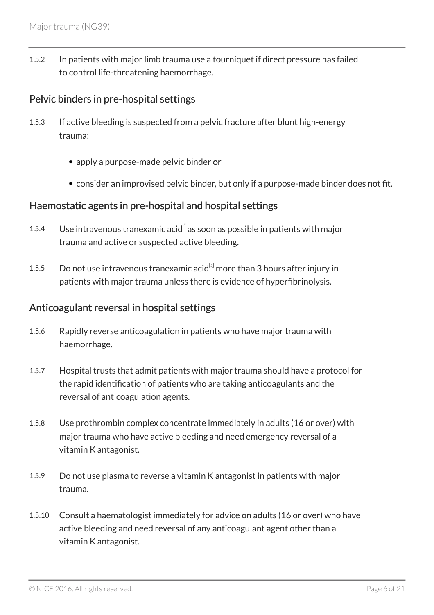1.5.2 In patients with major limb trauma use a tourniquet if direct pressure has failed to control life-threatening haemorrhage.

#### Pelvic binders in pre-hospital settings

- 1.5.3 If active bleeding is suspected from a pelvic fracture after blunt high-energy trauma:
	- apply a purpose-made pelvic binder or
	- consider an improvised pelvic binder, but only if a purpose-made binder does not fit.

#### Haemostatic agents in pre-hospital and hospital settings

- <span id="page-5-0"></span>[1](#page-15-0).5.4 Use intravenous tranexamic acid as soon as possible in patients with major trauma and active or suspected active bleeding.
- <span id="page-5-1"></span>1.5.5 Do not use intravenous tranexamic acid $^{[2]}$  $^{[2]}$  $^{[2]}$  more than 3 hours after injury in patients with major trauma unless there is evidence of hyperfibrinolysis.

#### Anticoagulant reversal in hospital settings

- 1.5.6 Rapidly reverse anticoagulation in patients who have major trauma with haemorrhage.
- 1.5.7 Hospital trusts that admit patients with major trauma should have a protocol for the rapid identification of patients who are taking anticoagulants and the reversal of anticoagulation agents.
- 1.5.8 Use prothrombin complex concentrate immediately in adults (16 or over) with major trauma who have active bleeding and need emergency reversal of a vitamin K antagonist.
- 1.5.9 Do not use plasma to reverse a vitamin K antagonist in patients with major trauma.
- 1.5.10 Consult a haematologist immediately for advice on adults (16 or over) who have active bleeding and need reversal of any anticoagulant agent other than a vitamin K antagonist.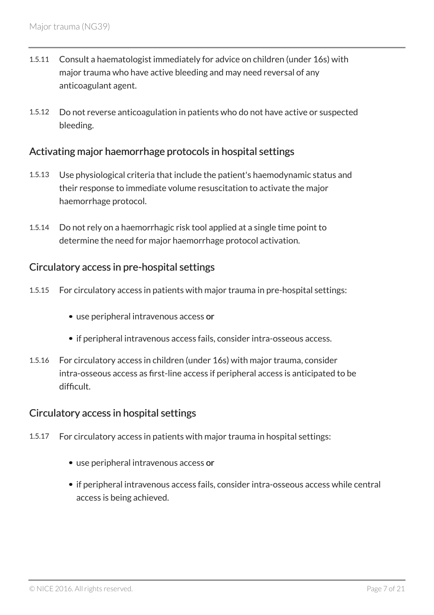- 1.5.11 Consult a haematologist immediately for advice on children (under 16s) with major trauma who have active bleeding and may need reversal of any anticoagulant agent.
- 1.5.12 Do not reverse anticoagulation in patients who do not have active or suspected bleeding.

## Activating major haemorrhage protocols in hospital settings

- 1.5.13 Use physiological criteria that include the patient's haemodynamic status and their response to immediate volume resuscitation to activate the major haemorrhage protocol.
- 1.5.14 Do not rely on a haemorrhagic risk tool applied at a single time point to determine the need for major haemorrhage protocol activation.

## Circulatory access in pre-hospital settings

- 1.5.15 For circulatory access in patients with major trauma in pre-hospital settings:
	- use peripheral intravenous access or
	- if peripheral intravenous access fails, consider intra-osseous access.
- 1.5.16 For circulatory access in children (under 16s) with major trauma, consider intra-osseous access as first-line access if peripheral access is anticipated to be difficult.

## Circulatory access in hospital settings

- 1.5.17 For circulatory access in patients with major trauma in hospital settings:
	- use peripheral intravenous access or
	- if peripheral intravenous access fails, consider intra-osseous access while central access is being achieved.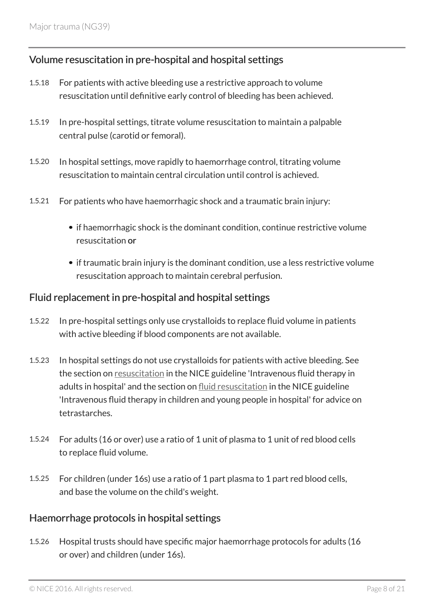## Volume resuscitation in pre-hospital and hospital settings

- 1.5.18 For patients with active bleeding use a restrictive approach to volume resuscitation until definitive early control of bleeding has been achieved.
- 1.5.19 In pre-hospital settings, titrate volume resuscitation to maintain a palpable central pulse (carotid or femoral).
- 1.5.20 In hospital settings, move rapidly to haemorrhage control, titrating volume resuscitation to maintain central circulation until control is achieved.
- 1.5.21 For patients who have haemorrhagic shock and a traumatic brain injury:
	- if haemorrhagic shock is the dominant condition, continue restrictive volume resuscitation or
	- if traumatic brain injury is the dominant condition, use a less restrictive volume resuscitation approach to maintain cerebral perfusion.

#### Fluid replacement in pre-hospital and hospital settings

- 1.5.22 In pre-hospital settings only use crystalloids to replace fluid volume in patients with active bleeding if blood components are not available.
- 1.5.23 In hospital settings do not use crystalloids for patients with active bleeding. See the section on [resuscitation](http://www.nice.org.uk/guidance/CG174/chapter/1-Recommendations#resuscitation-2) in the NICE guideline 'Intravenous fluid therapy in adults in hospital' and the section on [fluid resuscitation](http://www.nice.org.uk/guidance/ng29/chapter/Recommendations#fluid-resuscitation-2) in the NICE guideline 'Intravenous fluid therapy in children and young people in hospital' for advice on tetrastarches.
- 1.5.24 For adults (16 or over) use a ratio of 1 unit of plasma to 1 unit of red blood cells to replace fluid volume.
- 1.5.25 For children (under 16s) use a ratio of 1 part plasma to 1 part red blood cells, and base the volume on the child's weight.

#### Haemorrhage protocols in hospital settings

1.5.26 Hospital trusts should have specific major haemorrhage protocols for adults (16 or over) and children (under 16s).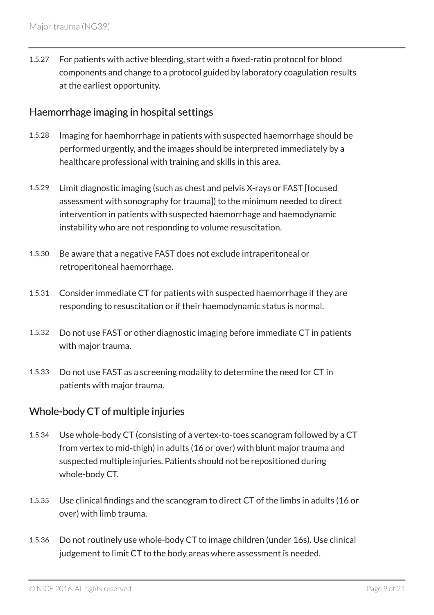1.5.27 For patients with active bleeding, start with a fixed-ratio protocol for blood components and change to a protocol guided by laboratory coagulation results at the earliest opportunity.

#### Haemorrhage imaging in hospital settings

- 1.5.28 Imaging for haemhorrhage in patients with suspected haemorrhage should be performed urgently, and the images should be interpreted immediately by a healthcare professional with training and skills in this area.
- 1.5.29 Limit diagnostic imaging (such as chest and pelvis X-rays or FAST [focused assessment with sonography for trauma]) to the minimum needed to direct intervention in patients with suspected haemorrhage and haemodynamic instability who are not responding to volume resuscitation.
- 1.5.30 Be aware that a negative FAST does not exclude intraperitoneal or retroperitoneal haemorrhage.
- 1.5.31 Consider immediate CT for patients with suspected haemorrhage if they are responding to resuscitation or if their haemodynamic status is normal.
- 1.5.32 Do not use FAST or other diagnostic imaging before immediate CT in patients with major trauma.
- 1.5.33 Do not use FAST as a screening modality to determine the need for CT in patients with major trauma.

#### <span id="page-8-0"></span>Whole-body CT of multiple injuries

- 1.5.34 Use whole-body CT (consisting of a vertex-to-toes scanogram followed by a CT from vertex to mid-thigh) in adults (16 or over) with blunt major trauma and suspected multiple injuries. Patients should not be repositioned during whole-body CT.
- 1.5.35 Use clinical findings and the scanogram to direct CT of the limbs in adults (16 or over) with limb trauma.
- 1.5.36 Do not routinely use whole-body CT to image children (under 16s). Use clinical judgement to limit CT to the body areas where assessment is needed.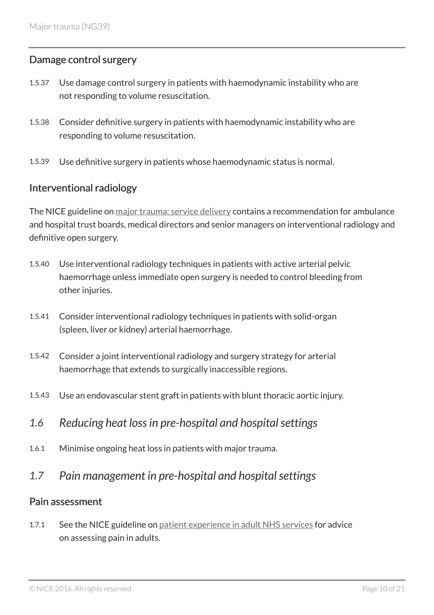#### Damage control surgery

- 1.5.37 Use damage control surgery in patients with haemodynamic instability who are not responding to volume resuscitation.
- 1.5.38 Consider definitive surgery in patients with haemodynamic instability who are responding to volume resuscitation.
- 1.5.39 Use definitive surgery in patients whose haemodynamic status is normal.

#### Interventional radiology

The NICE guideline on [major trauma: service delivery](http://www.nice.org.uk/guidance/ng40) contains a recommendation for ambulance and hospital trust boards, medical directors and senior managers on interventional radiology and definitive open surgery.

- 1.5.40 Use interventional radiology techniques in patients with active arterial pelvic haemorrhage unless immediate open surgery is needed to control bleeding from other injuries.
- 1.5.41 Consider interventional radiology techniques in patients with solid-organ (spleen, liver or kidney) arterial haemorrhage.
- 1.5.42 Consider a joint interventional radiology and surgery strategy for arterial haemorrhage that extends to surgically inaccessible regions.
- 1.5.43 Use an endovascular stent graft in patients with blunt thoracic aortic injury.
- <span id="page-9-0"></span>*1.6 Reducing heat loss in pre-hospital and hospital settings*
- 1.6.1 Minimise ongoing heat loss in patients with major trauma.
- <span id="page-9-1"></span>*1.7 Pain management in pre-hospital and hospital settings*

#### Pain assessment

1.7.1 See the NICE guideline on [patient experience in adult NHS services](http://www.nice.org.uk/guidance/cg138) for advice on assessing pain in adults.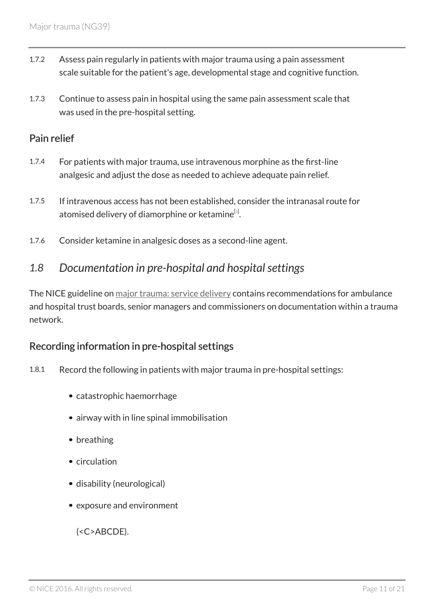- 1.7.2 Assess pain regularly in patients with major trauma using a pain assessment scale suitable for the patient's age, developmental stage and cognitive function.
- 1.7.3 Continue to assess pain in hospital using the same pain assessment scale that was used in the pre-hospital setting.

#### Pain relief

- 1.7.4 For patients with major trauma, use intravenous morphine as the first-line analgesic and adjust the dose as needed to achieve adequate pain relief.
- <span id="page-10-1"></span>1.7.5 If intravenous access has not been established, consider the intranasal route for atomised delivery of diamorphine or ketamine $^{\mathfrak{[s]}}$ .
- 1.7.6 Consider ketamine in analgesic doses as a second-line agent.

## <span id="page-10-0"></span>*1.8 Documentation in pre-hospital and hospital settings*

The NICE guideline on [major trauma: service delivery](http://www.nice.org.uk/guidance/ng40) contains recommendations for ambulance and hospital trust boards, senior managers and commissioners on documentation within a trauma network.

#### Recording information in pre-hospital settings

- 1.8.1 Record the following in patients with major trauma in pre-hospital settings:
	- catastrophic haemorrhage
	- airway with in line spinal immobilisation
	- breathing
	- circulation
	- disability (neurological)
	- exposure and environment

(<C>ABCDE).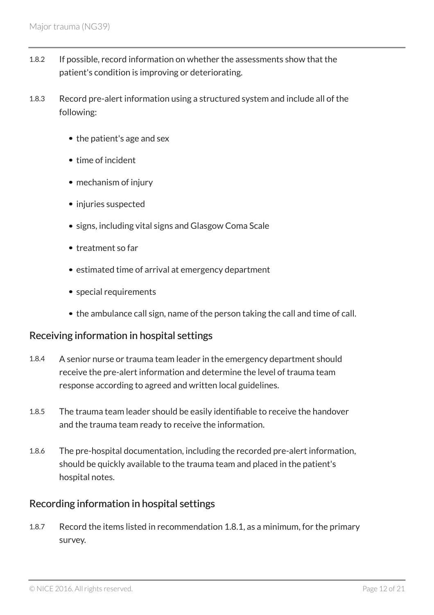- 1.8.2 If possible, record information on whether the assessments show that the patient's condition is improving or deteriorating.
- 1.8.3 Record pre-alert information using a structured system and include all of the following:
	- the patient's age and sex
	- time of incident
	- mechanism of injury
	- injuries suspected
	- signs, including vital signs and Glasgow Coma Scale
	- treatment so far
	- estimated time of arrival at emergency department
	- special requirements
	- the ambulance call sign, name of the person taking the call and time of call.

#### Receiving information in hospital settings

- 1.8.4 A senior nurse or trauma team leader in the emergency department should receive the pre-alert information and determine the level of trauma team response according to agreed and written local guidelines.
- 1.8.5 The trauma team leader should be easily identifiable to receive the handover and the trauma team ready to receive the information.
- 1.8.6 The pre-hospital documentation, including the recorded pre-alert information, should be quickly available to the trauma team and placed in the patient's hospital notes.

#### Recording information in hospital settings

1.8.7 Record the items listed in recommendation 1.8.1, as a minimum, for the primary survey.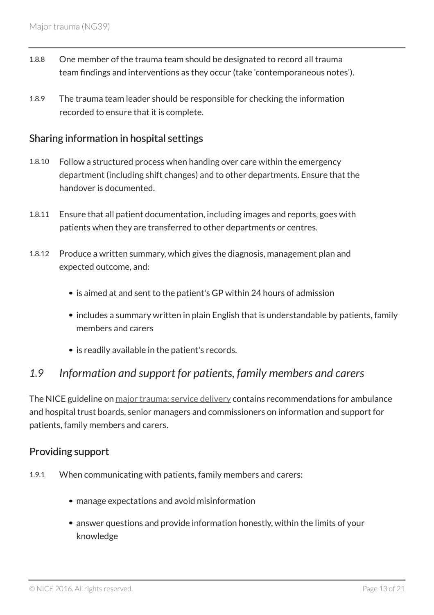- 1.8.8 One member of the trauma team should be designated to record all trauma team findings and interventions as they occur (take 'contemporaneous notes').
- 1.8.9 The trauma team leader should be responsible for checking the information recorded to ensure that it is complete.

#### Sharing information in hospital settings

- 1.8.10 Follow a structured process when handing over care within the emergency department (including shift changes) and to other departments. Ensure that the handover is documented.
- 1.8.11 Ensure that all patient documentation, including images and reports, goes with patients when they are transferred to other departments or centres.
- 1.8.12 Produce a written summary, which gives the diagnosis, management plan and expected outcome, and:
	- is aimed at and sent to the patient's GP within 24 hours of admission
	- includes a summary written in plain English that is understandable by patients, family members and carers
	- is readily available in the patient's records.

## <span id="page-12-0"></span>*1.9 Information and support for patients, family members and carers*

The NICE guideline on [major trauma: service delivery](http://www.nice.org.uk/guidance/ng40) contains recommendations for ambulance and hospital trust boards, senior managers and commissioners on information and support for patients, family members and carers.

#### Providing support

- 1.9.1 When communicating with patients, family members and carers:
	- manage expectations and avoid misinformation
	- answer questions and provide information honestly, within the limits of your knowledge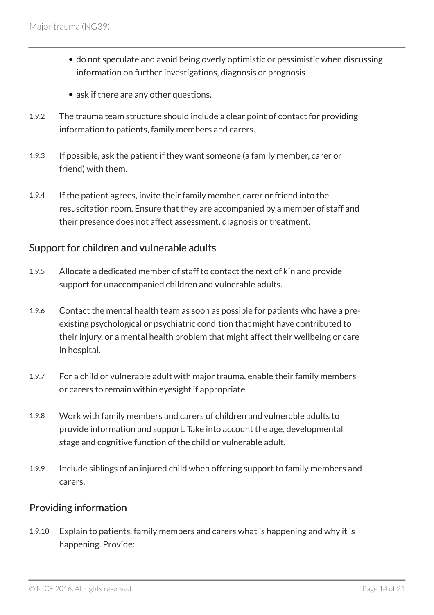- do not speculate and avoid being overly optimistic or pessimistic when discussing information on further investigations, diagnosis or prognosis
- ask if there are any other questions.
- 1.9.2 The trauma team structure should include a clear point of contact for providing information to patients, family members and carers.
- 1.9.3 If possible, ask the patient if they want someone (a family member, carer or friend) with them.
- 1.9.4 If the patient agrees, invite their family member, carer or friend into the resuscitation room. Ensure that they are accompanied by a member of staff and their presence does not affect assessment, diagnosis or treatment.

#### Support for children and vulnerable adults

- 1.9.5 Allocate a dedicated member of staff to contact the next of kin and provide support for unaccompanied children and vulnerable adults.
- 1.9.6 Contact the mental health team as soon as possible for patients who have a preexisting psychological or psychiatric condition that might have contributed to their injury, or a mental health problem that might affect their wellbeing or care in hospital.
- 1.9.7 For a child or vulnerable adult with major trauma, enable their family members or carers to remain within eyesight if appropriate.
- 1.9.8 Work with family members and carers of children and vulnerable adults to provide information and support. Take into account the age, developmental stage and cognitive function of the child or vulnerable adult.
- 1.9.9 Include siblings of an injured child when offering support to family members and carers.

#### Providing information

1.9.10 Explain to patients, family members and carers what is happening and why it is happening. Provide: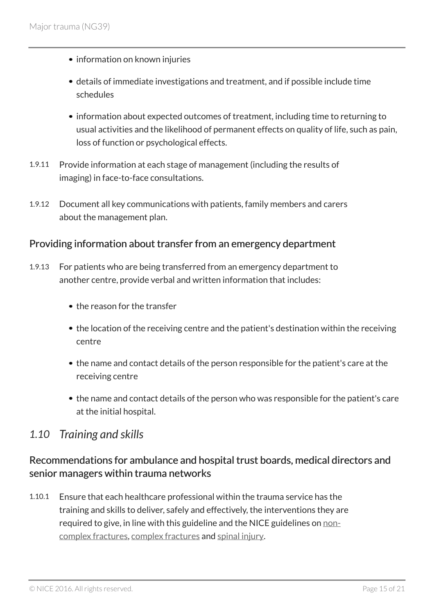- information on known injuries
- details of immediate investigations and treatment, and if possible include time schedules
- information about expected outcomes of treatment, including time to returning to usual activities and the likelihood of permanent effects on quality of life, such as pain, loss of function or psychological effects.
- 1.9.11 Provide information at each stage of management (including the results of imaging) in face-to-face consultations.
- 1.9.12 Document all key communications with patients, family members and carers about the management plan.

#### Providing information about transfer from an emergency department

- 1.9.13 For patients who are being transferred from an emergency department to another centre, provide verbal and written information that includes:
	- the reason for the transfer
	- the location of the receiving centre and the patient's destination within the receiving centre
	- the name and contact details of the person responsible for the patient's care at the receiving centre
	- the name and contact details of the person who was responsible for the patient's care at the initial hospital.

#### <span id="page-14-0"></span>*1.10 Training and skills*

#### Recommendations for ambulance and hospital trust boards, medical directors and senior managers within trauma networks

1.10.1 Ensure that each healthcare professional within the trauma service has the training and skills to deliver, safely and effectively, the interventions they are required to give, in line with this guideline and the NICE guidelines on [non](http://www.nice.org.uk/guidance/ng38)[complex fractures](http://www.nice.org.uk/guidance/ng38), [complex fractures](http://www.nice.org.uk/guidance/ng37) and [spinal injury.](http://www.nice.org.uk/guidance/ng41)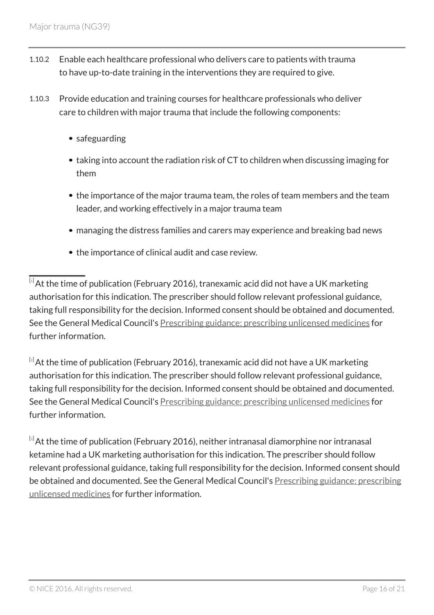- 1.10.2 Enable each healthcare professional who delivers care to patients with trauma to have up-to-date training in the interventions they are required to give.
- 1.10.3 Provide education and training courses for healthcare professionals who deliver care to children with major trauma that include the following components:
	- safeguarding
	- taking into account the radiation risk of CT to children when discussing imaging for them
	- the importance of the major trauma team, the roles of team members and the team leader, and working effectively in a major trauma team
	- managing the distress families and carers may experience and breaking bad news
	- the importance of clinical audit and case review.

<span id="page-15-0"></span> $\overline{^{[1]}}$  $\overline{^{[1]}}$  $\overline{^{[1]}}$ At the time of publication (February 2016), tranexamic acid did not have a UK marketing authorisation for this indication. The prescriber should follow relevant professional guidance, taking full responsibility for the decision. Informed consent should be obtained and documented. See the General Medical Council's [Prescribing guidance: prescribing unlicensed medicines](http://www.gmc-uk.org/guidance/ethical_guidance/14327.asp) for further information.

<span id="page-15-1"></span> $[2]$  $[2]$  $[2]$ At the time of publication (February 2016), tranexamic acid did not have a UK marketing authorisation for this indication. The prescriber should follow relevant professional guidance, taking full responsibility for the decision. Informed consent should be obtained and documented. See the General Medical Council's [Prescribing guidance: prescribing unlicensed medicines](http://www.gmc-uk.org/guidance/ethical_guidance/14327.asp) for further information.

<span id="page-15-2"></span> $\frac{[3]}{3}$  $\frac{[3]}{3}$  $\frac{[3]}{3}$ At the time of publication (February 2016), neither intranasal diamorphine nor intranasal ketamine had a UK marketing authorisation for this indication. The prescriber should follow relevant professional guidance, taking full responsibility for the decision. Informed consent should be obtained and documented. See the General Medical Council's [Prescribing guidance: prescribing](http://www.gmc-uk.org/guidance/ethical_guidance/14327.asp) [unlicensed medicines](http://www.gmc-uk.org/guidance/ethical_guidance/14327.asp) for further information.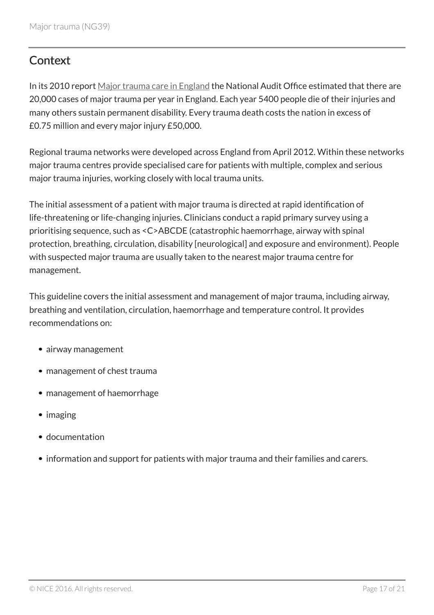# <span id="page-16-0"></span>**Context**

In its 2010 report [Major trauma care in England](http://www.nao.org.uk/report/major-trauma-care-in-england/) the National Audit Office estimated that there are 20,000 cases of major trauma per year in England. Each year 5400 people die of their injuries and many others sustain permanent disability. Every trauma death costs the nation in excess of £0.75 million and every major injury £50,000.

Regional trauma networks were developed across England from April 2012. Within these networks major trauma centres provide specialised care for patients with multiple, complex and serious major trauma injuries, working closely with local trauma units.

The initial assessment of a patient with major trauma is directed at rapid identification of life-threatening or life-changing injuries. Clinicians conduct a rapid primary survey using a prioritising sequence, such as <C>ABCDE (catastrophic haemorrhage, airway with spinal protection, breathing, circulation, disability [neurological] and exposure and environment). People with suspected major trauma are usually taken to the nearest major trauma centre for management.

This guideline covers the initial assessment and management of major trauma, including airway, breathing and ventilation, circulation, haemorrhage and temperature control. It provides recommendations on:

- airway management
- management of chest trauma
- management of haemorrhage
- imaging
- documentation
- information and support for patients with major trauma and their families and carers.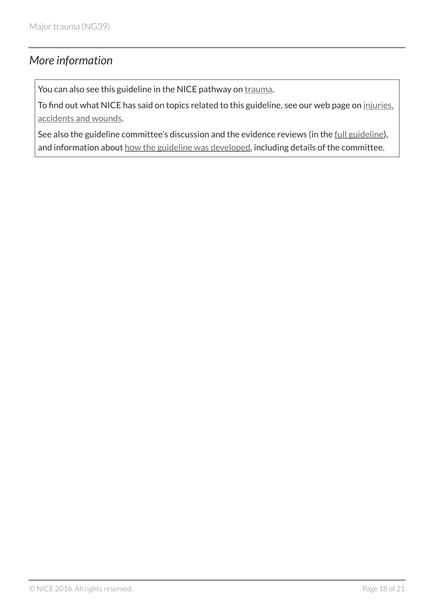## <span id="page-17-0"></span>*More information*

You can also see this guideline in the NICE pathway on [trauma](http://pathways.nice.org.uk/pathways/trauma).

To find out what NICE has said on topics related to this guideline, see our web page on [injuries,](http://www.nice.org.uk/guidancemenu/conditions-and-diseases/injuries--accidents-and-wounds) [accidents and wounds.](http://www.nice.org.uk/guidancemenu/conditions-and-diseases/injuries--accidents-and-wounds)

See also the guideline committee's discussion and the evidence reviews (in the [full guideline\)](http://www.nice.org.uk/Guidance/NG39/evidence), and information about [how the guideline was developed](http://www.nice.org.uk/Guidance/NG39/documents), including details of the committee.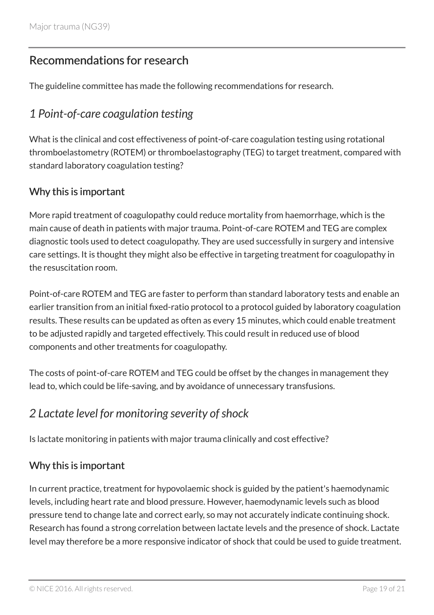## <span id="page-18-0"></span>Recommendations for research

The guideline committee has made the following recommendations for research.

## <span id="page-18-1"></span>*1 Point-of-care coagulation testing*

What is the clinical and cost effectiveness of point-of-care coagulation testing using rotational thromboelastometry (ROTEM) or thromboelastography (TEG) to target treatment, compared with standard laboratory coagulation testing?

#### Why this is important

More rapid treatment of coagulopathy could reduce mortality from haemorrhage, which is the main cause of death in patients with major trauma. Point-of-care ROTEM and TEG are complex diagnostic tools used to detect coagulopathy. They are used successfully in surgery and intensive care settings. It is thought they might also be effective in targeting treatment for coagulopathy in the resuscitation room.

Point-of-care ROTEM and TEG are faster to perform than standard laboratory tests and enable an earlier transition from an initial fixed-ratio protocol to a protocol guided by laboratory coagulation results. These results can be updated as often as every 15 minutes, which could enable treatment to be adjusted rapidly and targeted effectively. This could result in reduced use of blood components and other treatments for coagulopathy.

The costs of point-of-care ROTEM and TEG could be offset by the changes in management they lead to, which could be life-saving, and by avoidance of unnecessary transfusions.

## <span id="page-18-2"></span>*2 Lactate level for monitoring severity of shock*

Is lactate monitoring in patients with major trauma clinically and cost effective?

#### Why this is important

In current practice, treatment for hypovolaemic shock is guided by the patient's haemodynamic levels, including heart rate and blood pressure. However, haemodynamic levels such as blood pressure tend to change late and correct early, so may not accurately indicate continuing shock. Research has found a strong correlation between lactate levels and the presence of shock. Lactate level may therefore be a more responsive indicator of shock that could be used to guide treatment.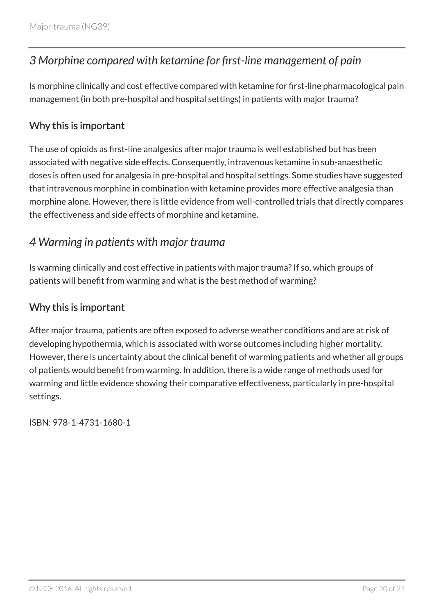# <span id="page-19-0"></span>*3 Morphine compared with ketamine for first-line management of pain*

Is morphine clinically and cost effective compared with ketamine for first-line pharmacological pain management (in both pre-hospital and hospital settings) in patients with major trauma?

## Why this is important

The use of opioids as first-line analgesics after major trauma is well established but has been associated with negative side effects. Consequently, intravenous ketamine in sub-anaesthetic doses is often used for analgesia in pre-hospital and hospital settings. Some studies have suggested that intravenous morphine in combination with ketamine provides more effective analgesia than morphine alone. However, there is little evidence from well-controlled trials that directly compares the effectiveness and side effects of morphine and ketamine.

## <span id="page-19-1"></span>*4 Warming in patients with major trauma*

Is warming clinically and cost effective in patients with major trauma? If so, which groups of patients will benefit from warming and what is the best method of warming?

#### Why this is important

After major trauma, patients are often exposed to adverse weather conditions and are at risk of developing hypothermia, which is associated with worse outcomes including higher mortality. However, there is uncertainty about the clinical benefit of warming patients and whether all groups of patients would benefit from warming. In addition, there is a wide range of methods used for warming and little evidence showing their comparative effectiveness, particularly in pre-hospital settings.

ISBN: 978-1-4731-1680-1